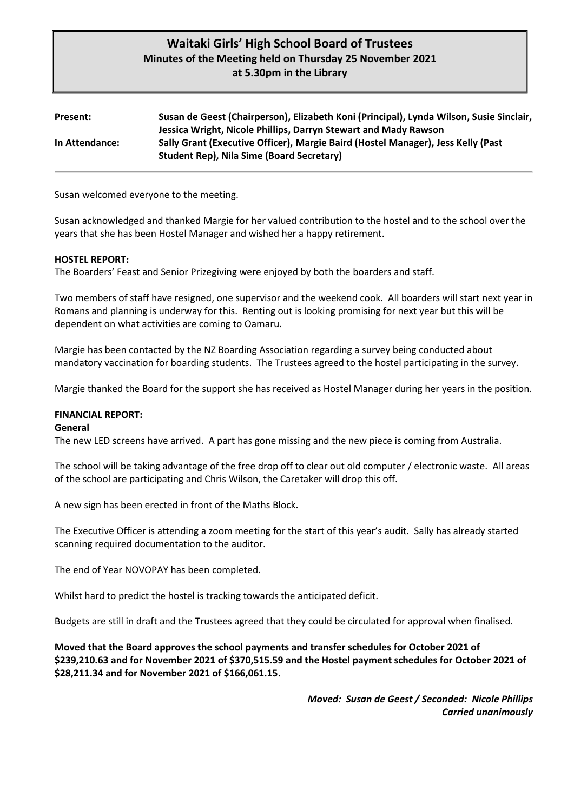# **Waitaki Girls' High School Board of Trustees Minutes of the Meeting held on Thursday 25 November 2021 at 5.30pm in the Library**

| Present:       | Susan de Geest (Chairperson), Elizabeth Koni (Principal), Lynda Wilson, Susie Sinclair,<br>Jessica Wright, Nicole Phillips, Darryn Stewart and Mady Rawson |
|----------------|------------------------------------------------------------------------------------------------------------------------------------------------------------|
| In Attendance: | Sally Grant (Executive Officer), Margie Baird (Hostel Manager), Jess Kelly (Past<br><b>Student Rep), Nila Sime (Board Secretary)</b>                       |

Susan welcomed everyone to the meeting.

Susan acknowledged and thanked Margie for her valued contribution to the hostel and to the school over the years that she has been Hostel Manager and wished her a happy retirement.

### **HOSTEL REPORT:**

The Boarders' Feast and Senior Prizegiving were enjoyed by both the boarders and staff.

Two members of staff have resigned, one supervisor and the weekend cook. All boarders will start next year in Romans and planning is underway for this. Renting out is looking promising for next year but this will be dependent on what activities are coming to Oamaru.

Margie has been contacted by the NZ Boarding Association regarding a survey being conducted about mandatory vaccination for boarding students. The Trustees agreed to the hostel participating in the survey.

Margie thanked the Board for the support she has received as Hostel Manager during her years in the position.

#### **FINANCIAL REPORT:**

#### **General**

The new LED screens have arrived. A part has gone missing and the new piece is coming from Australia.

The school will be taking advantage of the free drop off to clear out old computer / electronic waste. All areas of the school are participating and Chris Wilson, the Caretaker will drop this off.

A new sign has been erected in front of the Maths Block.

The Executive Officer is attending a zoom meeting for the start of this year's audit. Sally has already started scanning required documentation to the auditor.

The end of Year NOVOPAY has been completed.

Whilst hard to predict the hostel is tracking towards the anticipated deficit.

Budgets are still in draft and the Trustees agreed that they could be circulated for approval when finalised.

**Moved that the Board approves the school payments and transfer schedules for October 2021 of \$239,210.63 and for November 2021 of \$370,515.59 and the Hostel payment schedules for October 2021 of \$28,211.34 and for November 2021 of \$166,061.15.** 

> *Moved: Susan de Geest / Seconded: Nicole Phillips Carried unanimously*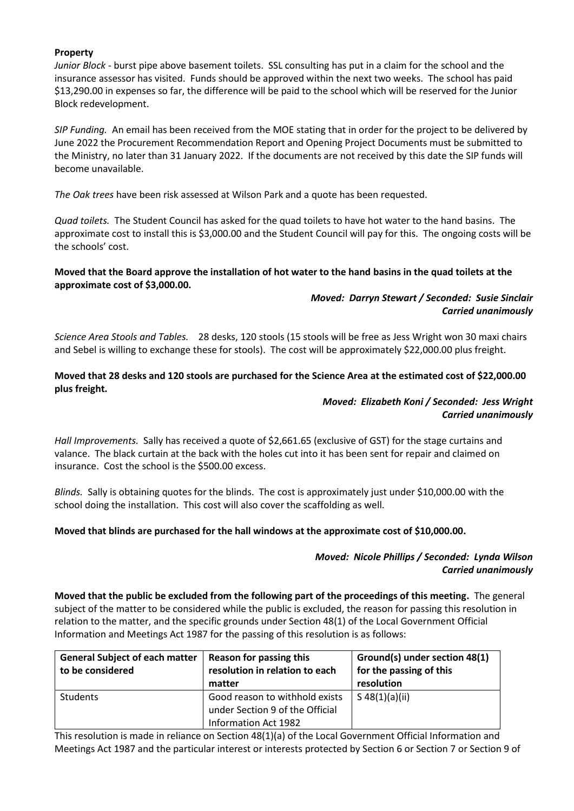## **Property**

*Junior Block* - burst pipe above basement toilets. SSL consulting has put in a claim for the school and the insurance assessor has visited. Funds should be approved within the next two weeks. The school has paid \$13,290.00 in expenses so far, the difference will be paid to the school which will be reserved for the Junior Block redevelopment.

*SIP Funding.* An email has been received from the MOE stating that in order for the project to be delivered by June 2022 the Procurement Recommendation Report and Opening Project Documents must be submitted to the Ministry, no later than 31 January 2022. If the documents are not received by this date the SIP funds will become unavailable.

*The Oak trees* have been risk assessed at Wilson Park and a quote has been requested.

*Quad toilets.* The Student Council has asked for the quad toilets to have hot water to the hand basins. The approximate cost to install this is \$3,000.00 and the Student Council will pay for this. The ongoing costs will be the schools' cost.

## **Moved that the Board approve the installation of hot water to the hand basins in the quad toilets at the approximate cost of \$3,000.00.**

# *Moved: Darryn Stewart / Seconded: Susie Sinclair Carried unanimously*

*Science Area Stools and Tables.* 28 desks, 120 stools (15 stools will be free as Jess Wright won 30 maxi chairs and Sebel is willing to exchange these for stools). The cost will be approximately \$22,000.00 plus freight.

## **Moved that 28 desks and 120 stools are purchased for the Science Area at the estimated cost of \$22,000.00 plus freight.**

## *Moved: Elizabeth Koni / Seconded: Jess Wright Carried unanimously*

*Hall Improvements.* Sally has received a quote of \$2,661.65 (exclusive of GST) for the stage curtains and valance. The black curtain at the back with the holes cut into it has been sent for repair and claimed on insurance. Cost the school is the \$500.00 excess.

*Blinds.* Sally is obtaining quotes for the blinds. The cost is approximately just under \$10,000.00 with the school doing the installation. This cost will also cover the scaffolding as well.

# **Moved that blinds are purchased for the hall windows at the approximate cost of \$10,000.00.**

# *Moved: Nicole Phillips / Seconded: Lynda Wilson Carried unanimously*

**Moved that the public be excluded from the following part of the proceedings of this meeting.** The general subject of the matter to be considered while the public is excluded, the reason for passing this resolution in relation to the matter, and the specific grounds under Section 48(1) of the Local Government Official Information and Meetings Act 1987 for the passing of this resolution is as follows:

| <b>General Subject of each matter</b><br>to be considered | Reason for passing this<br>resolution in relation to each<br>matter                       | Ground(s) under section 48(1)<br>for the passing of this<br>resolution |
|-----------------------------------------------------------|-------------------------------------------------------------------------------------------|------------------------------------------------------------------------|
| <b>Students</b>                                           | Good reason to withhold exists<br>under Section 9 of the Official<br>Information Act 1982 | $S$ 48(1)(a)(ii)                                                       |

This resolution is made in reliance on Section 48(1)(a) of the Local Government Official Information and Meetings Act 1987 and the particular interest or interests protected by Section 6 or Section 7 or Section 9 of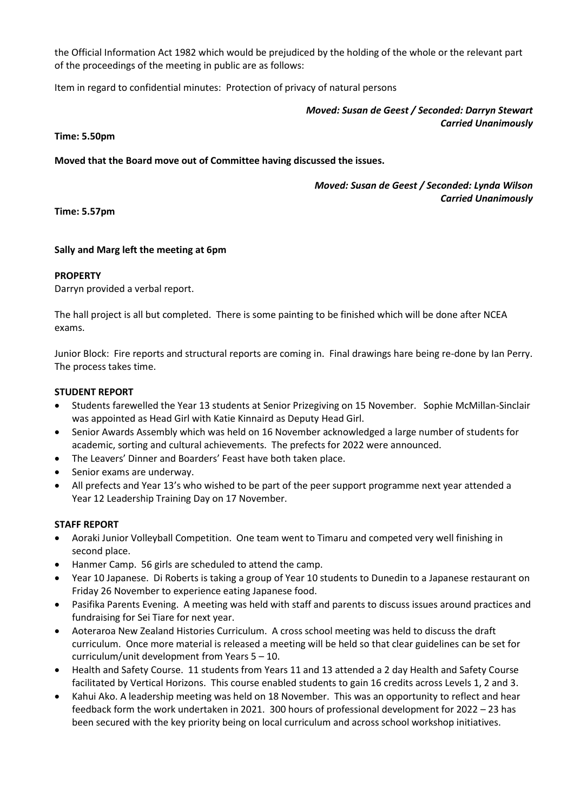the Official Information Act 1982 which would be prejudiced by the holding of the whole or the relevant part of the proceedings of the meeting in public are as follows:

Item in regard to confidential minutes: Protection of privacy of natural persons

*Moved: Susan de Geest / Seconded: Darryn Stewart Carried Unanimously*

### **Time: 5.50pm**

**Moved that the Board move out of Committee having discussed the issues.**

*Moved: Susan de Geest / Seconded: Lynda Wilson Carried Unanimously*

**Time: 5.57pm**

### **Sally and Marg left the meeting at 6pm**

### **PROPERTY**

Darryn provided a verbal report.

The hall project is all but completed. There is some painting to be finished which will be done after NCEA exams.

Junior Block: Fire reports and structural reports are coming in. Final drawings hare being re-done by Ian Perry. The process takes time.

### **STUDENT REPORT**

- Students farewelled the Year 13 students at Senior Prizegiving on 15 November. Sophie McMillan-Sinclair was appointed as Head Girl with Katie Kinnaird as Deputy Head Girl.
- Senior Awards Assembly which was held on 16 November acknowledged a large number of students for academic, sorting and cultural achievements. The prefects for 2022 were announced.
- The Leavers' Dinner and Boarders' Feast have both taken place.
- Senior exams are underway.
- All prefects and Year 13's who wished to be part of the peer support programme next year attended a Year 12 Leadership Training Day on 17 November.

### **STAFF REPORT**

- Aoraki Junior Volleyball Competition. One team went to Timaru and competed very well finishing in second place.
- Hanmer Camp. 56 girls are scheduled to attend the camp.
- Year 10 Japanese. Di Roberts is taking a group of Year 10 students to Dunedin to a Japanese restaurant on Friday 26 November to experience eating Japanese food.
- Pasifika Parents Evening. A meeting was held with staff and parents to discuss issues around practices and fundraising for Sei Tiare for next year.
- Aoteraroa New Zealand Histories Curriculum. A cross school meeting was held to discuss the draft curriculum. Once more material is released a meeting will be held so that clear guidelines can be set for curriculum/unit development from Years 5 – 10.
- Health and Safety Course. 11 students from Years 11 and 13 attended a 2 day Health and Safety Course facilitated by Vertical Horizons. This course enabled students to gain 16 credits across Levels 1, 2 and 3.
- Kahui Ako. A leadership meeting was held on 18 November. This was an opportunity to reflect and hear feedback form the work undertaken in 2021. 300 hours of professional development for 2022 – 23 has been secured with the key priority being on local curriculum and across school workshop initiatives.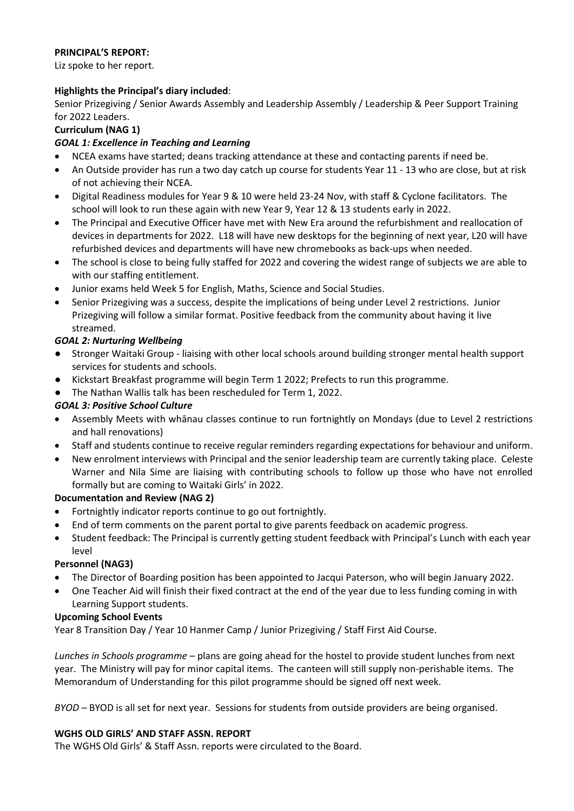# **PRINCIPAL'S REPORT:**

Liz spoke to her report.

# **Highlights the Principal's diary included**:

Senior Prizegiving / Senior Awards Assembly and Leadership Assembly / Leadership & Peer Support Training for 2022 Leaders.

# **Curriculum (NAG 1)**

# *GOAL 1: Excellence in Teaching and Learning*

- NCEA exams have started; deans tracking attendance at these and contacting parents if need be.
- An Outside provider has run a two day catch up course for students Year 11 13 who are close, but at risk of not achieving their NCEA.
- Digital Readiness modules for Year 9 & 10 were held 23-24 Nov, with staff & Cyclone facilitators. The school will look to run these again with new Year 9, Year 12 & 13 students early in 2022.
- The Principal and Executive Officer have met with New Era around the refurbishment and reallocation of devices in departments for 2022. L18 will have new desktops for the beginning of next year, L20 will have refurbished devices and departments will have new chromebooks as back-ups when needed.
- The school is close to being fully staffed for 2022 and covering the widest range of subjects we are able to with our staffing entitlement.
- Junior exams held Week 5 for English, Maths, Science and Social Studies.
- Senior Prizegiving was a success, despite the implications of being under Level 2 restrictions. Junior Prizegiving will follow a similar format. Positive feedback from the community about having it live streamed.

# *GOAL 2: Nurturing Wellbeing*

- Stronger Waitaki Group liaising with other local schools around building stronger mental health support services for students and schools.
- Kickstart Breakfast programme will begin Term 1 2022; Prefects to run this programme.
- The Nathan Wallis talk has been rescheduled for Term 1, 2022.

# *GOAL 3: Positive School Culture*

- Assembly Meets with whānau classes continue to run fortnightly on Mondays (due to Level 2 restrictions and hall renovations)
- Staff and students continue to receive regular reminders regarding expectations for behaviour and uniform.
- New enrolment interviews with Principal and the senior leadership team are currently taking place. Celeste Warner and Nila Sime are liaising with contributing schools to follow up those who have not enrolled formally but are coming to Waitaki Girls' in 2022.

# **Documentation and Review (NAG 2)**

- Fortnightly indicator reports continue to go out fortnightly.
- End of term comments on the parent portal to give parents feedback on academic progress.
- Student feedback: The Principal is currently getting student feedback with Principal's Lunch with each year level

# **Personnel (NAG3)**

- The Director of Boarding position has been appointed to Jacqui Paterson, who will begin January 2022.
- One Teacher Aid will finish their fixed contract at the end of the year due to less funding coming in with Learning Support students.

# **Upcoming School Events**

Year 8 Transition Day / Year 10 Hanmer Camp / Junior Prizegiving / Staff First Aid Course.

*Lunches in Schools programme* – plans are going ahead for the hostel to provide student lunches from next year. The Ministry will pay for minor capital items. The canteen will still supply non-perishable items. The Memorandum of Understanding for this pilot programme should be signed off next week.

*BYOD –* BYOD is all set for next year. Sessions for students from outside providers are being organised.

# **WGHS OLD GIRLS' AND STAFF ASSN. REPORT**

The WGHS Old Girls' & Staff Assn. reports were circulated to the Board.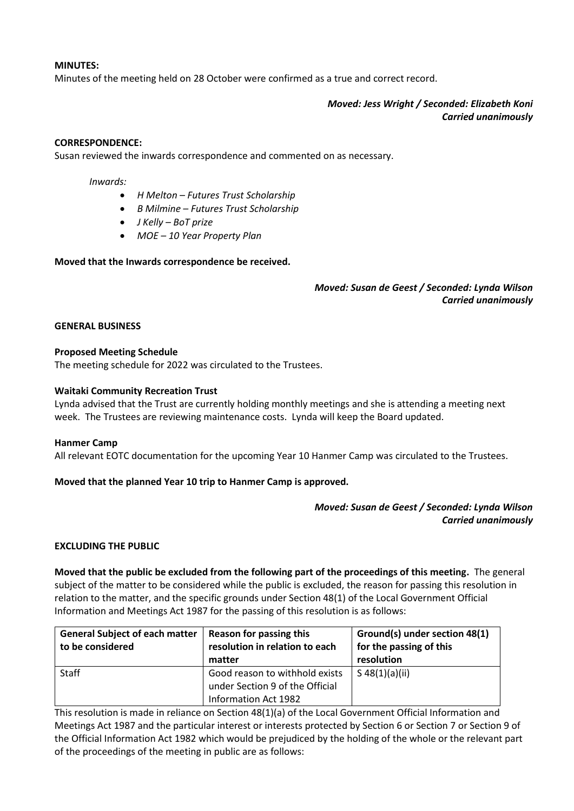### **MINUTES:**

Minutes of the meeting held on 28 October were confirmed as a true and correct record.

*Moved: Jess Wright / Seconded: Elizabeth Koni Carried unanimously*

#### **CORRESPONDENCE:**

Susan reviewed the inwards correspondence and commented on as necessary.

#### *Inwards:*

- *H Melton – Futures Trust Scholarship*
- *B Milmine – Futures Trust Scholarship*
- *J Kelly – BoT prize*
- *MOE – 10 Year Property Plan*

### **Moved that the Inwards correspondence be received.**

### *Moved: Susan de Geest / Seconded: Lynda Wilson Carried unanimously*

#### **GENERAL BUSINESS**

### **Proposed Meeting Schedule**

The meeting schedule for 2022 was circulated to the Trustees.

### **Waitaki Community Recreation Trust**

Lynda advised that the Trust are currently holding monthly meetings and she is attending a meeting next week. The Trustees are reviewing maintenance costs. Lynda will keep the Board updated.

#### **Hanmer Camp**

All relevant EOTC documentation for the upcoming Year 10 Hanmer Camp was circulated to the Trustees.

### **Moved that the planned Year 10 trip to Hanmer Camp is approved.**

## *Moved: Susan de Geest / Seconded: Lynda Wilson Carried unanimously*

### **EXCLUDING THE PUBLIC**

**Moved that the public be excluded from the following part of the proceedings of this meeting.** The general subject of the matter to be considered while the public is excluded, the reason for passing this resolution in relation to the matter, and the specific grounds under Section 48(1) of the Local Government Official Information and Meetings Act 1987 for the passing of this resolution is as follows:

| <b>General Subject of each matter</b><br>to be considered | Reason for passing this<br>resolution in relation to each<br>matter | Ground(s) under section 48(1)<br>for the passing of this<br>resolution |
|-----------------------------------------------------------|---------------------------------------------------------------------|------------------------------------------------------------------------|
| Staff                                                     | Good reason to withhold exists<br>under Section 9 of the Official   | S $48(1)(a)(ii)$                                                       |
|                                                           | Information Act 1982                                                |                                                                        |

This resolution is made in reliance on Section 48(1)(a) of the Local Government Official Information and Meetings Act 1987 and the particular interest or interests protected by Section 6 or Section 7 or Section 9 of the Official Information Act 1982 which would be prejudiced by the holding of the whole or the relevant part of the proceedings of the meeting in public are as follows: